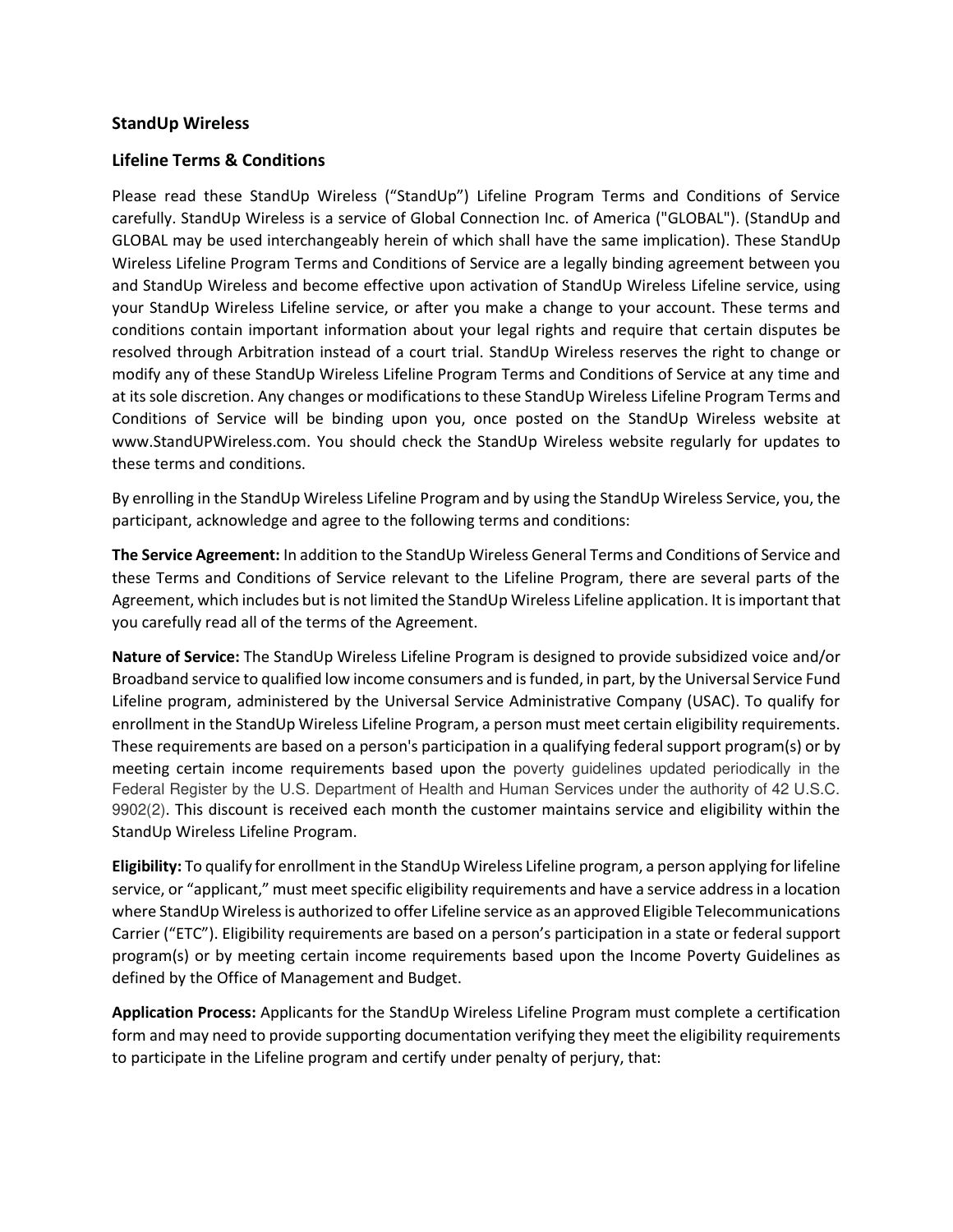## **StandUp Wireless**

## **Lifeline Terms & Conditions**

Please read these StandUp Wireless ("StandUp") Lifeline Program Terms and Conditions of Service carefully. StandUp Wireless is a service of Global Connection Inc. of America ("GLOBAL"). (StandUp and GLOBAL may be used interchangeably herein of which shall have the same implication). These StandUp Wireless Lifeline Program Terms and Conditions of Service are a legally binding agreement between you and StandUp Wireless and become effective upon activation of StandUp Wireless Lifeline service, using your StandUp Wireless Lifeline service, or after you make a change to your account. These terms and conditions contain important information about your legal rights and require that certain disputes be resolved through Arbitration instead of a court trial. StandUp Wireless reserves the right to change or modify any of these StandUp Wireless Lifeline Program Terms and Conditions of Service at any time and at its sole discretion. Any changes or modifications to these StandUp Wireless Lifeline Program Terms and Conditions of Service will be binding upon you, once posted on the StandUp Wireless website at www.StandUPWireless.com. You should check the StandUp Wireless website regularly for updates to these terms and conditions.

By enrolling in the StandUp Wireless Lifeline Program and by using the StandUp Wireless Service, you, the participant, acknowledge and agree to the following terms and conditions:

**The Service Agreement:** In addition to the StandUp Wireless General Terms and Conditions of Service and these Terms and Conditions of Service relevant to the Lifeline Program, there are several parts of the Agreement, which includes but is not limited the StandUp Wireless Lifeline application. It is important that you carefully read all of the terms of the Agreement.

**Nature of Service:** The StandUp Wireless Lifeline Program is designed to provide subsidized voice and/or Broadband service to qualified low income consumers and is funded, in part, by the Universal Service Fund Lifeline program, administered by the Universal Service Administrative Company (USAC). To qualify for enrollment in the StandUp Wireless Lifeline Program, a person must meet certain eligibility requirements. These requirements are based on a person's participation in a qualifying federal support program(s) or by meeting certain income requirements based upon the poverty guidelines updated periodically in the Federal Register by the U.S. Department of Health and Human Services under the authority of 42 U.S.C. 9902(2). This discount is received each month the customer maintains service and eligibility within the StandUp Wireless Lifeline Program.

**Eligibility:** To qualify for enrollment in the StandUp Wireless Lifeline program, a person applying for lifeline service, or "applicant," must meet specific eligibility requirements and have a service address in a location where StandUp Wireless is authorized to offer Lifeline service as an approved Eligible Telecommunications Carrier ("ETC"). Eligibility requirements are based on a person's participation in a state or federal support program(s) or by meeting certain income requirements based upon the Income Poverty Guidelines as defined by the Office of Management and Budget.

**Application Process:** Applicants for the StandUp Wireless Lifeline Program must complete a certification form and may need to provide supporting documentation verifying they meet the eligibility requirements to participate in the Lifeline program and certify under penalty of perjury, that: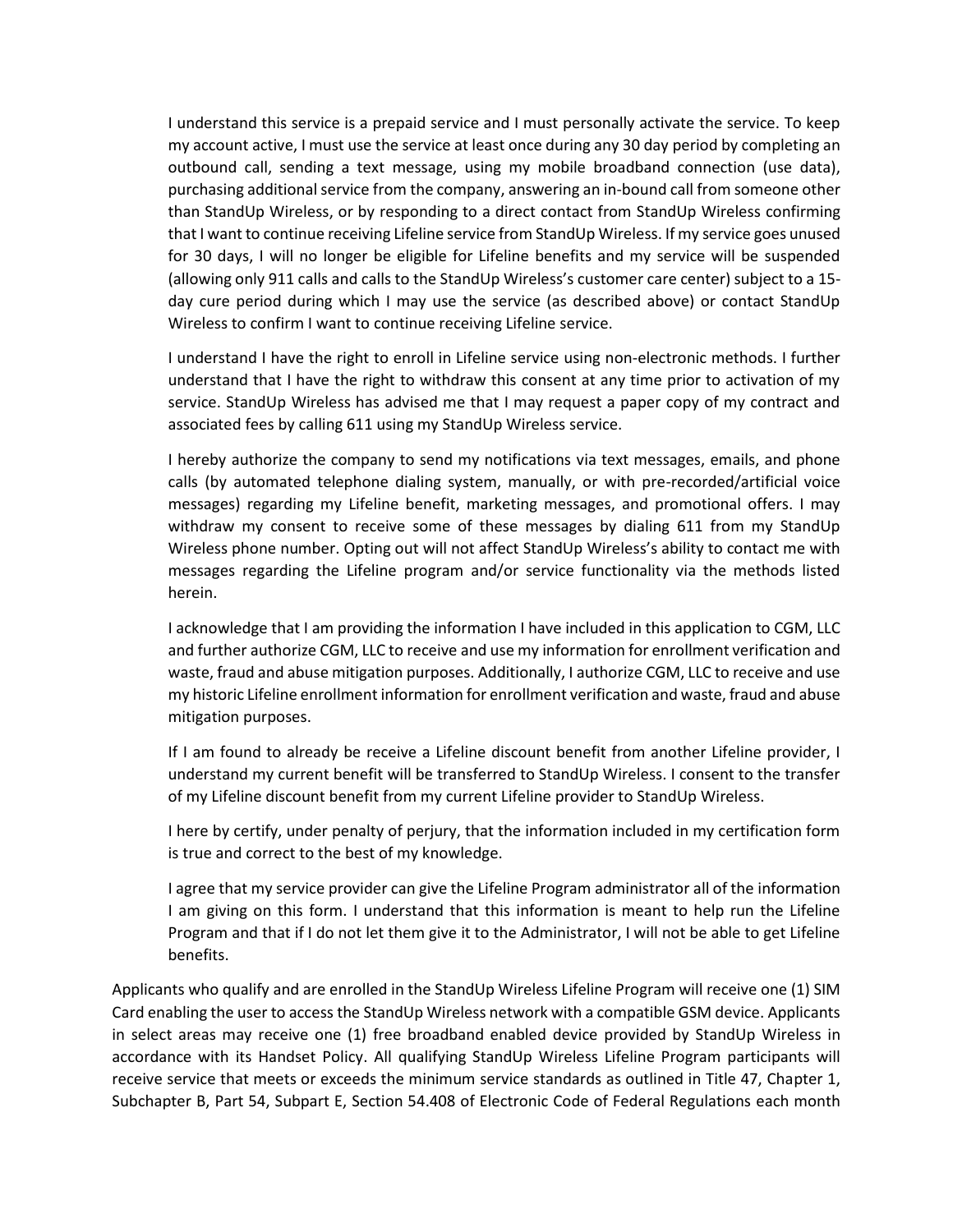I understand this service is a prepaid service and I must personally activate the service. To keep my account active, I must use the service at least once during any 30 day period by completing an outbound call, sending a text message, using my mobile broadband connection (use data), purchasing additional service from the company, answering an in-bound call from someone other than StandUp Wireless, or by responding to a direct contact from StandUp Wireless confirming that I want to continue receiving Lifeline service from StandUp Wireless. If my service goes unused for 30 days, I will no longer be eligible for Lifeline benefits and my service will be suspended (allowing only 911 calls and calls to the StandUp Wireless's customer care center) subject to a 15 day cure period during which I may use the service (as described above) or contact StandUp Wireless to confirm I want to continue receiving Lifeline service.

I understand I have the right to enroll in Lifeline service using non-electronic methods. I further understand that I have the right to withdraw this consent at any time prior to activation of my service. StandUp Wireless has advised me that I may request a paper copy of my contract and associated fees by calling 611 using my StandUp Wireless service.

I hereby authorize the company to send my notifications via text messages, emails, and phone calls (by automated telephone dialing system, manually, or with pre-recorded/artificial voice messages) regarding my Lifeline benefit, marketing messages, and promotional offers. I may withdraw my consent to receive some of these messages by dialing 611 from my StandUp Wireless phone number. Opting out will not affect StandUp Wireless's ability to contact me with messages regarding the Lifeline program and/or service functionality via the methods listed herein.

I acknowledge that I am providing the information I have included in this application to CGM, LLC and further authorize CGM, LLC to receive and use my information for enrollment verification and waste, fraud and abuse mitigation purposes. Additionally, I authorize CGM, LLC to receive and use my historic Lifeline enrollment information for enrollment verification and waste, fraud and abuse mitigation purposes.

If I am found to already be receive a Lifeline discount benefit from another Lifeline provider, I understand my current benefit will be transferred to StandUp Wireless. I consent to the transfer of my Lifeline discount benefit from my current Lifeline provider to StandUp Wireless.

I here by certify, under penalty of perjury, that the information included in my certification form is true and correct to the best of my knowledge.

I agree that my service provider can give the Lifeline Program administrator all of the information I am giving on this form. I understand that this information is meant to help run the Lifeline Program and that if I do not let them give it to the Administrator, I will not be able to get Lifeline benefits.

Applicants who qualify and are enrolled in the StandUp Wireless Lifeline Program will receive one (1) SIM Card enabling the user to access the StandUp Wireless network with a compatible GSM device. Applicants in select areas may receive one (1) free broadband enabled device provided by StandUp Wireless in accordance with its Handset Policy. All qualifying StandUp Wireless Lifeline Program participants will receive service that meets or exceeds the minimum service standards as outlined in Title 47, Chapter 1, Subchapter B, Part 54, Subpart E, Section 54.408 of Electronic Code of Federal Regulations each month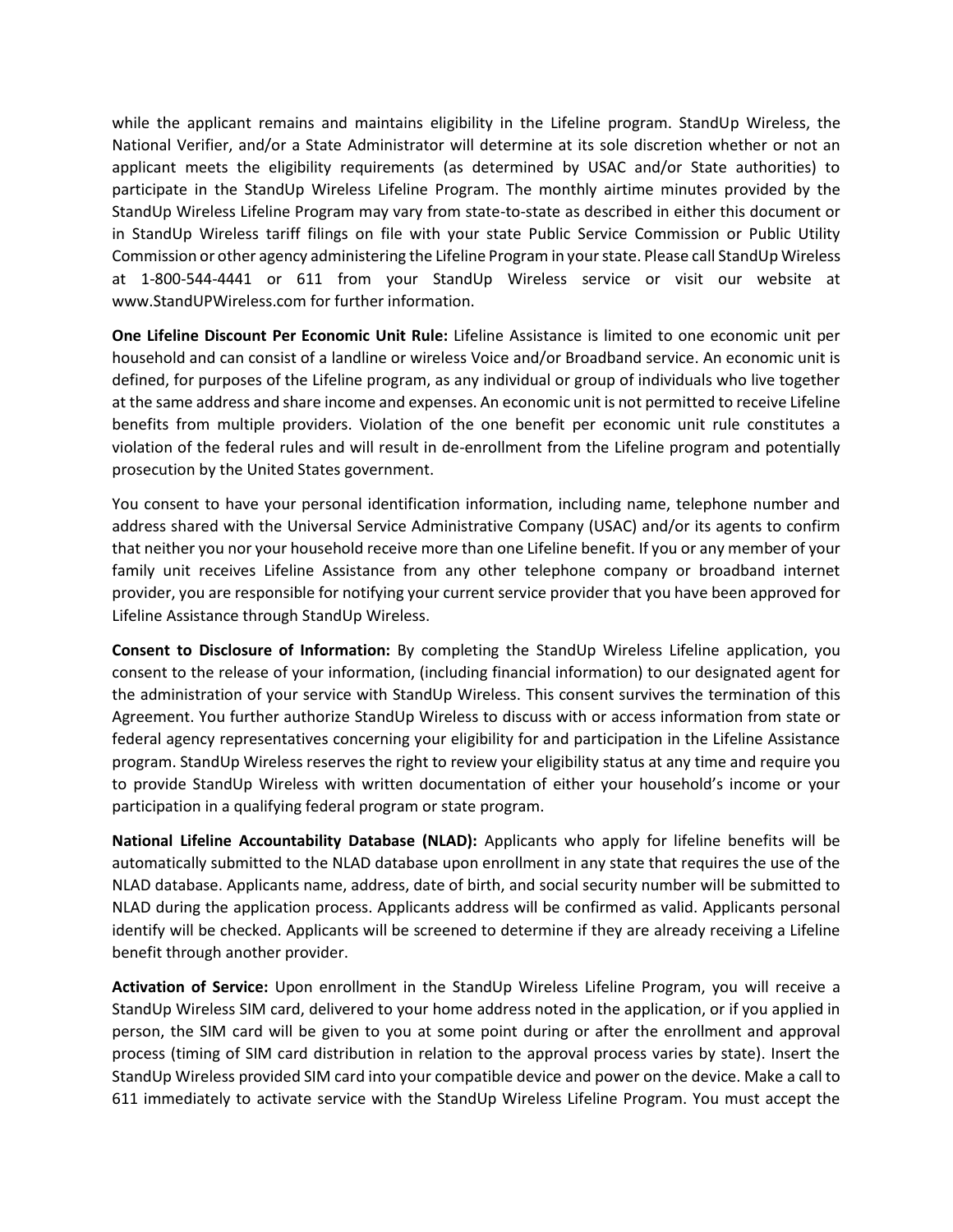while the applicant remains and maintains eligibility in the Lifeline program. StandUp Wireless, the National Verifier, and/or a State Administrator will determine at its sole discretion whether or not an applicant meets the eligibility requirements (as determined by USAC and/or State authorities) to participate in the StandUp Wireless Lifeline Program. The monthly airtime minutes provided by the StandUp Wireless Lifeline Program may vary from state-to-state as described in either this document or in StandUp Wireless tariff filings on file with your state Public Service Commission or Public Utility Commission or other agency administering the Lifeline Program in your state. Please call StandUp Wireless at 1-800-544-4441 or 611 from your StandUp Wireless service or visit our website at www.StandUPWireless.com for further information.

**One Lifeline Discount Per Economic Unit Rule:** Lifeline Assistance is limited to one economic unit per household and can consist of a landline or wireless Voice and/or Broadband service. An economic unit is defined, for purposes of the Lifeline program, as any individual or group of individuals who live together at the same address and share income and expenses. An economic unit is not permitted to receive Lifeline benefits from multiple providers. Violation of the one benefit per economic unit rule constitutes a violation of the federal rules and will result in de-enrollment from the Lifeline program and potentially prosecution by the United States government.

You consent to have your personal identification information, including name, telephone number and address shared with the Universal Service Administrative Company (USAC) and/or its agents to confirm that neither you nor your household receive more than one Lifeline benefit. If you or any member of your family unit receives Lifeline Assistance from any other telephone company or broadband internet provider, you are responsible for notifying your current service provider that you have been approved for Lifeline Assistance through StandUp Wireless.

**Consent to Disclosure of Information:** By completing the StandUp Wireless Lifeline application, you consent to the release of your information, (including financial information) to our designated agent for the administration of your service with StandUp Wireless. This consent survives the termination of this Agreement. You further authorize StandUp Wireless to discuss with or access information from state or federal agency representatives concerning your eligibility for and participation in the Lifeline Assistance program. StandUp Wireless reserves the right to review your eligibility status at any time and require you to provide StandUp Wireless with written documentation of either your household's income or your participation in a qualifying federal program or state program.

**National Lifeline Accountability Database (NLAD):** Applicants who apply for lifeline benefits will be automatically submitted to the NLAD database upon enrollment in any state that requires the use of the NLAD database. Applicants name, address, date of birth, and social security number will be submitted to NLAD during the application process. Applicants address will be confirmed as valid. Applicants personal identify will be checked. Applicants will be screened to determine if they are already receiving a Lifeline benefit through another provider.

**Activation of Service:** Upon enrollment in the StandUp Wireless Lifeline Program, you will receive a StandUp Wireless SIM card, delivered to your home address noted in the application, or if you applied in person, the SIM card will be given to you at some point during or after the enrollment and approval process (timing of SIM card distribution in relation to the approval process varies by state). Insert the StandUp Wireless provided SIM card into your compatible device and power on the device. Make a call to 611 immediately to activate service with the StandUp Wireless Lifeline Program. You must accept the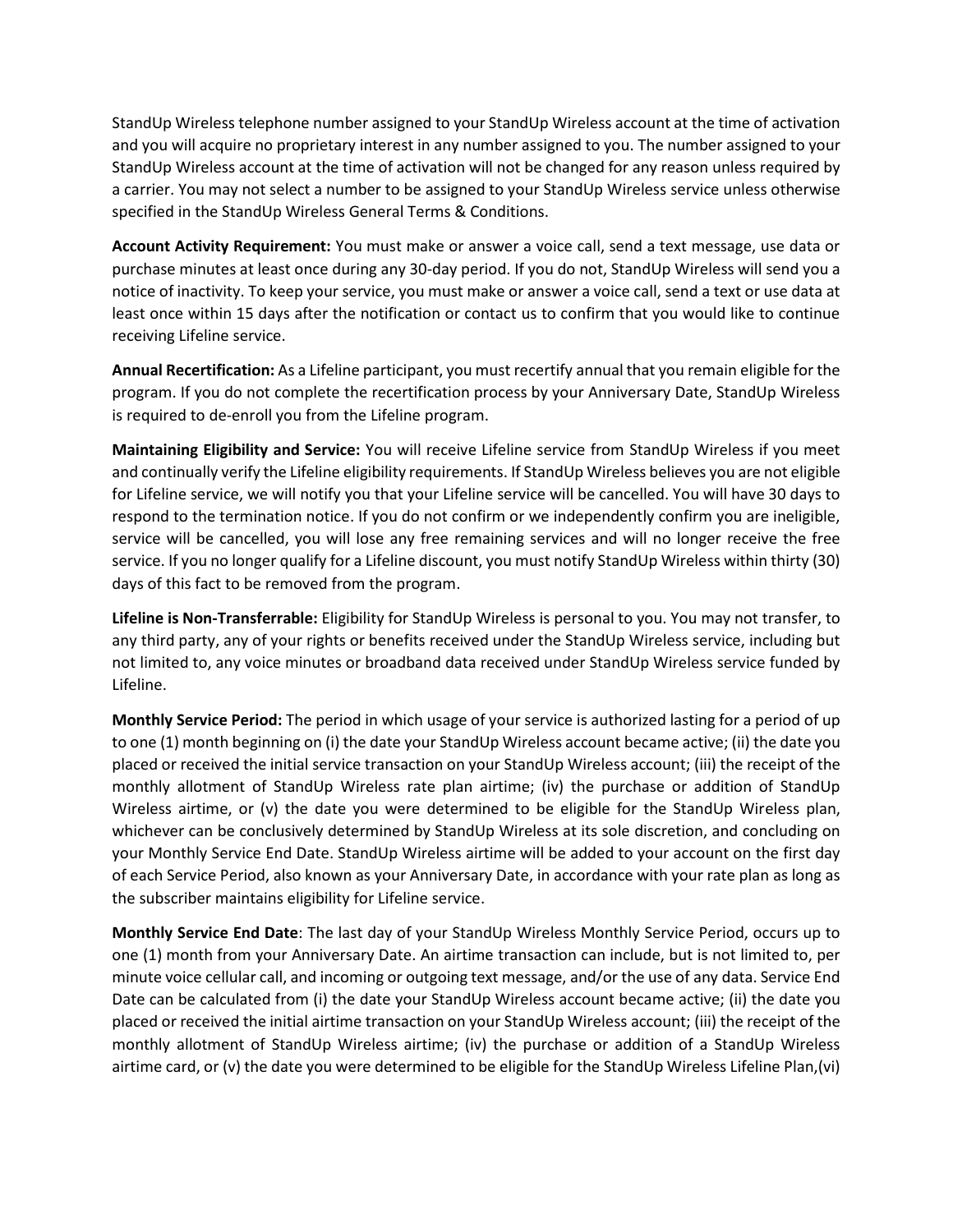StandUp Wireless telephone number assigned to your StandUp Wireless account at the time of activation and you will acquire no proprietary interest in any number assigned to you. The number assigned to your StandUp Wireless account at the time of activation will not be changed for any reason unless required by a carrier. You may not select a number to be assigned to your StandUp Wireless service unless otherwise specified in the StandUp Wireless General Terms & Conditions.

**Account Activity Requirement:** You must make or answer a voice call, send a text message, use data or purchase minutes at least once during any 30-day period. If you do not, StandUp Wireless will send you a notice of inactivity. To keep your service, you must make or answer a voice call, send a text or use data at least once within 15 days after the notification or contact us to confirm that you would like to continue receiving Lifeline service.

**Annual Recertification:** As a Lifeline participant, you must recertify annual that you remain eligible for the program. If you do not complete the recertification process by your Anniversary Date, StandUp Wireless is required to de-enroll you from the Lifeline program.

**Maintaining Eligibility and Service:** You will receive Lifeline service from StandUp Wireless if you meet and continually verify the Lifeline eligibility requirements. If StandUp Wireless believes you are not eligible for Lifeline service, we will notify you that your Lifeline service will be cancelled. You will have 30 days to respond to the termination notice. If you do not confirm or we independently confirm you are ineligible, service will be cancelled, you will lose any free remaining services and will no longer receive the free service. If you no longer qualify for a Lifeline discount, you must notify StandUp Wireless within thirty (30) days of this fact to be removed from the program.

**Lifeline is Non-Transferrable:** Eligibility for StandUp Wireless is personal to you. You may not transfer, to any third party, any of your rights or benefits received under the StandUp Wireless service, including but not limited to, any voice minutes or broadband data received under StandUp Wireless service funded by Lifeline.

**Monthly Service Period:** The period in which usage of your service is authorized lasting for a period of up to one (1) month beginning on (i) the date your StandUp Wireless account became active; (ii) the date you placed or received the initial service transaction on your StandUp Wireless account; (iii) the receipt of the monthly allotment of StandUp Wireless rate plan airtime; (iv) the purchase or addition of StandUp Wireless airtime, or (v) the date you were determined to be eligible for the StandUp Wireless plan, whichever can be conclusively determined by StandUp Wireless at its sole discretion, and concluding on your Monthly Service End Date. StandUp Wireless airtime will be added to your account on the first day of each Service Period, also known as your Anniversary Date, in accordance with your rate plan as long as the subscriber maintains eligibility for Lifeline service.

**Monthly Service End Date**: The last day of your StandUp Wireless Monthly Service Period, occurs up to one (1) month from your Anniversary Date. An airtime transaction can include, but is not limited to, per minute voice cellular call, and incoming or outgoing text message, and/or the use of any data. Service End Date can be calculated from (i) the date your StandUp Wireless account became active; (ii) the date you placed or received the initial airtime transaction on your StandUp Wireless account; (iii) the receipt of the monthly allotment of StandUp Wireless airtime; (iv) the purchase or addition of a StandUp Wireless airtime card, or (v) the date you were determined to be eligible for the StandUp Wireless Lifeline Plan,(vi)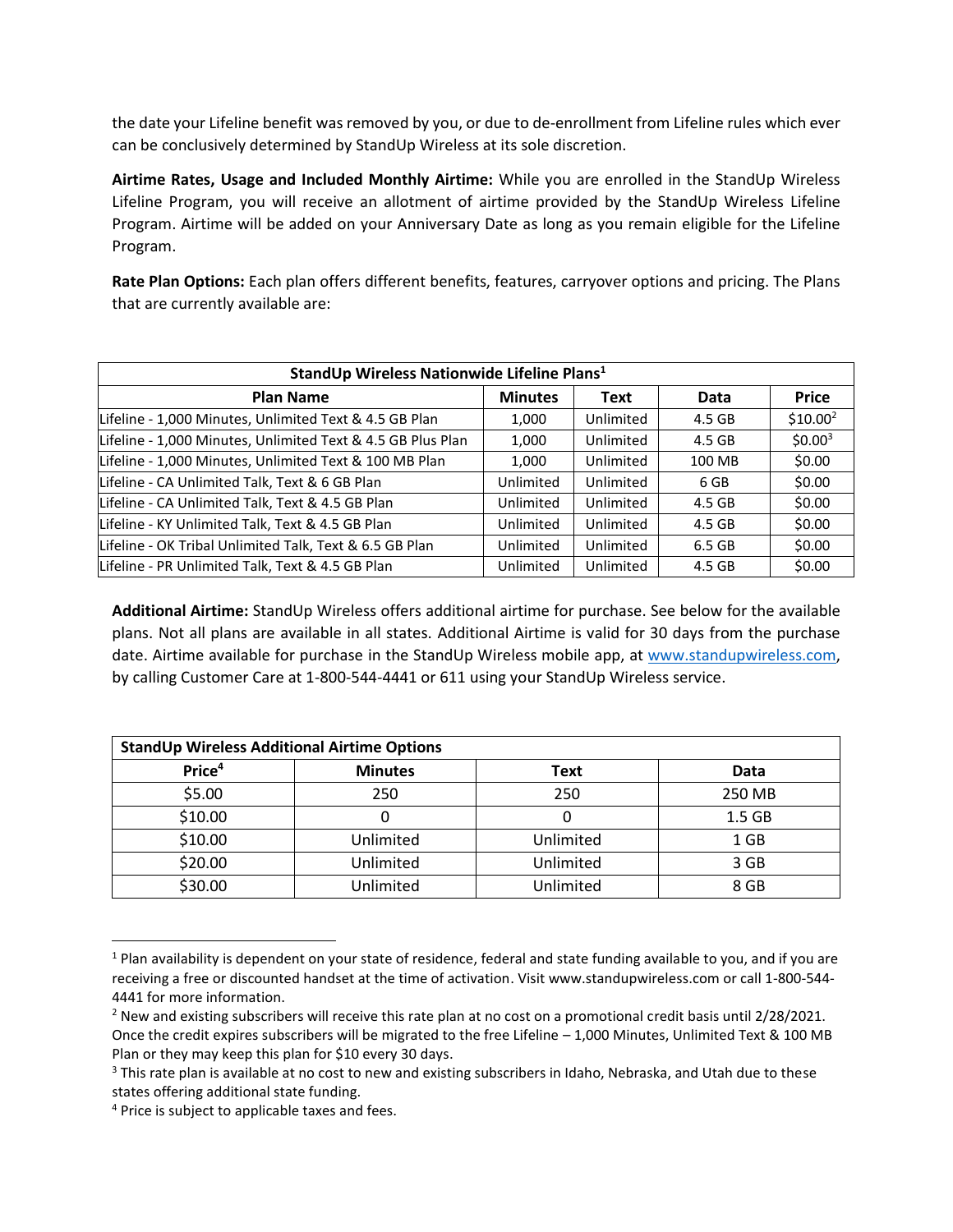the date your Lifeline benefit was removed by you, or due to de-enrollment from Lifeline rules which ever can be conclusively determined by StandUp Wireless at its sole discretion.

**Airtime Rates, Usage and Included Monthly Airtime:** While you are enrolled in the StandUp Wireless Lifeline Program, you will receive an allotment of airtime provided by the StandUp Wireless Lifeline Program. Airtime will be added on your Anniversary Date as long as you remain eligible for the Lifeline Program.

**Rate Plan Options:** Each plan offers different benefits, features, carryover options and pricing. The Plans that are currently available are:

| StandUp Wireless Nationwide Lifeline Plans <sup>1</sup>     |                |           |        |                     |  |  |
|-------------------------------------------------------------|----------------|-----------|--------|---------------------|--|--|
| <b>Plan Name</b>                                            | <b>Minutes</b> | Text      | Data   | <b>Price</b>        |  |  |
| Lifeline - 1,000 Minutes, Unlimited Text & 4.5 GB Plan      | 1,000          | Unlimited | 4.5 GB | $$10.00^2$          |  |  |
| Lifeline - 1,000 Minutes, Unlimited Text & 4.5 GB Plus Plan | 1,000          | Unlimited | 4.5 GB | \$0.00 <sup>3</sup> |  |  |
| Lifeline - 1,000 Minutes, Unlimited Text & 100 MB Plan      | 1,000          | Unlimited | 100 MB | \$0.00              |  |  |
| Lifeline - CA Unlimited Talk, Text & 6 GB Plan              | Unlimited      | Unlimited | 6 GB   | \$0.00              |  |  |
| Lifeline - CA Unlimited Talk, Text & 4.5 GB Plan            | Unlimited      | Unlimited | 4.5 GB | \$0.00              |  |  |
| Lifeline - KY Unlimited Talk, Text & 4.5 GB Plan            | Unlimited      | Unlimited | 4.5 GB | \$0.00              |  |  |
| Lifeline - OK Tribal Unlimited Talk, Text & 6.5 GB Plan     | Unlimited      | Unlimited | 6.5 GB | \$0.00              |  |  |
| Lifeline - PR Unlimited Talk, Text & 4.5 GB Plan            | Unlimited      | Unlimited | 4.5 GB | \$0.00              |  |  |

**Additional Airtime:** StandUp Wireless offers additional airtime for purchase. See below for the available plans. Not all plans are available in all states. Additional Airtime is valid for 30 days from the purchase date. Airtime available for purchase in the StandUp Wireless mobile app, at [www.standupwireless.com,](http://www.standupwireless.com/) by calling Customer Care at 1-800-544-4441 or 611 using your StandUp Wireless service.

| <b>StandUp Wireless Additional Airtime Options</b> |                |           |                   |  |  |
|----------------------------------------------------|----------------|-----------|-------------------|--|--|
| Price <sup>4</sup>                                 | <b>Minutes</b> | Text      | Data              |  |  |
| \$5.00                                             | 250            | 250       | 250 MB            |  |  |
| \$10.00                                            |                |           | 1.5 <sub>GB</sub> |  |  |
| \$10.00                                            | Unlimited      | Unlimited | 1 GB              |  |  |
| \$20.00                                            | Unlimited      | Unlimited | 3 GB              |  |  |
| \$30.00                                            | Unlimited      | Unlimited | 8 GB              |  |  |

<sup>&</sup>lt;sup>1</sup> Plan availability is dependent on your state of residence, federal and state funding available to you, and if you are receiving a free or discounted handset at the time of activation. Visit www.standupwireless.com or call 1-800-544- 4441 for more information.

<sup>&</sup>lt;sup>2</sup> New and existing subscribers will receive this rate plan at no cost on a promotional credit basis until 2/28/2021. Once the credit expires subscribers will be migrated to the free Lifeline – 1,000 Minutes, Unlimited Text & 100 MB Plan or they may keep this plan for \$10 every 30 days.

<sup>&</sup>lt;sup>3</sup> This rate plan is available at no cost to new and existing subscribers in Idaho, Nebraska, and Utah due to these states offering additional state funding.

<sup>&</sup>lt;sup>4</sup> Price is subject to applicable taxes and fees.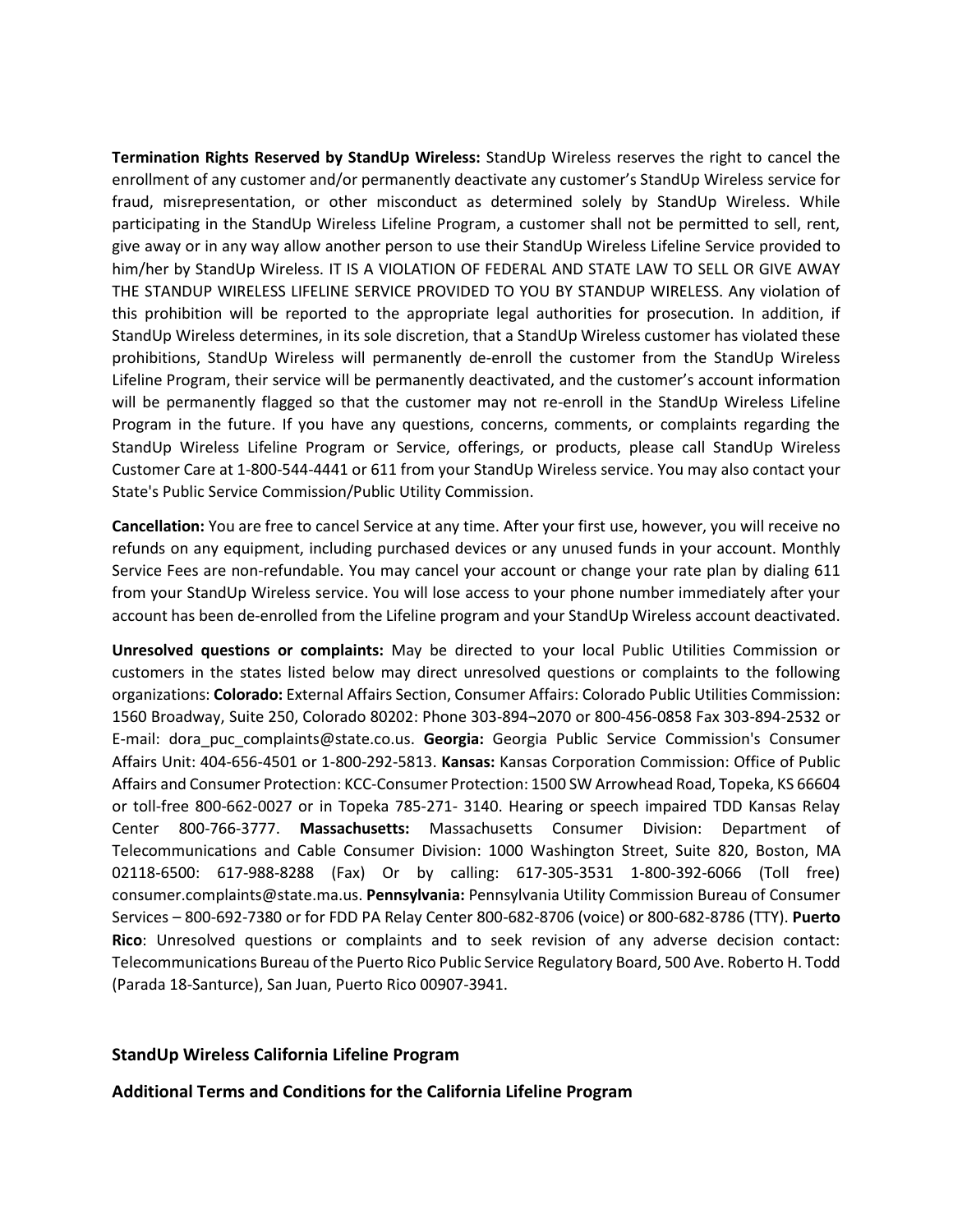**Termination Rights Reserved by StandUp Wireless:** StandUp Wireless reserves the right to cancel the enrollment of any customer and/or permanently deactivate any customer's StandUp Wireless service for fraud, misrepresentation, or other misconduct as determined solely by StandUp Wireless. While participating in the StandUp Wireless Lifeline Program, a customer shall not be permitted to sell, rent, give away or in any way allow another person to use their StandUp Wireless Lifeline Service provided to him/her by StandUp Wireless. IT IS A VIOLATION OF FEDERAL AND STATE LAW TO SELL OR GIVE AWAY THE STANDUP WIRELESS LIFELINE SERVICE PROVIDED TO YOU BY STANDUP WIRELESS. Any violation of this prohibition will be reported to the appropriate legal authorities for prosecution. In addition, if StandUp Wireless determines, in its sole discretion, that a StandUp Wireless customer has violated these prohibitions, StandUp Wireless will permanently de-enroll the customer from the StandUp Wireless Lifeline Program, their service will be permanently deactivated, and the customer's account information will be permanently flagged so that the customer may not re-enroll in the StandUp Wireless Lifeline Program in the future. If you have any questions, concerns, comments, or complaints regarding the StandUp Wireless Lifeline Program or Service, offerings, or products, please call StandUp Wireless Customer Care at 1-800-544-4441 or 611 from your StandUp Wireless service. You may also contact your State's Public Service Commission/Public Utility Commission.

**Cancellation:** You are free to cancel Service at any time. After your first use, however, you will receive no refunds on any equipment, including purchased devices or any unused funds in your account. Monthly Service Fees are non-refundable. You may cancel your account or change your rate plan by dialing 611 from your StandUp Wireless service. You will lose access to your phone number immediately after your account has been de-enrolled from the Lifeline program and your StandUp Wireless account deactivated.

**Unresolved questions or complaints:** May be directed to your local Public Utilities Commission or customers in the states listed below may direct unresolved questions or complaints to the following organizations: **Colorado:** External Affairs Section, Consumer Affairs: Colorado Public Utilities Commission: 1560 Broadway, Suite 250, Colorado 80202: Phone 303‐894¬2070 or 800‐456‐0858 Fax 303‐894‐2532 or E‐mail: dora\_puc\_complaints@state.co.us. **Georgia:** Georgia Public Service Commission's Consumer Affairs Unit: 404-656-4501 or 1-800-292-5813. **Kansas:** Kansas Corporation Commission: Office of Public Affairs and Consumer Protection: KCC‐Consumer Protection: 1500 SW Arrowhead Road, Topeka, KS 66604 or toll‐free 800‐662‐0027 or in Topeka 785‐271‐ 3140. Hearing or speech impaired TDD Kansas Relay Center 800‐766‐3777. **Massachusetts:** Massachusetts Consumer Division: Department of Telecommunications and Cable Consumer Division: 1000 Washington Street, Suite 820, Boston, MA 02118‐6500: 617‐988‐8288 (Fax) Or by calling: 617‐305‐3531 1‐800‐392‐6066 (Toll free) consumer.complaints@state.ma.us. **Pennsylvania:** Pennsylvania Utility Commission Bureau of Consumer Services – 800-692-7380 or for FDD PA Relay Center 800-682-8706 (voice) or 800-682-8786 (TTY). **Puerto Rico**: Unresolved questions or complaints and to seek revision of any adverse decision contact: Telecommunications Bureau of the Puerto Rico Public Service Regulatory Board, 500 Ave. Roberto H. Todd (Parada 18-Santurce), San Juan, Puerto Rico 00907-3941.

## **StandUp Wireless California Lifeline Program**

**Additional Terms and Conditions for the California Lifeline Program**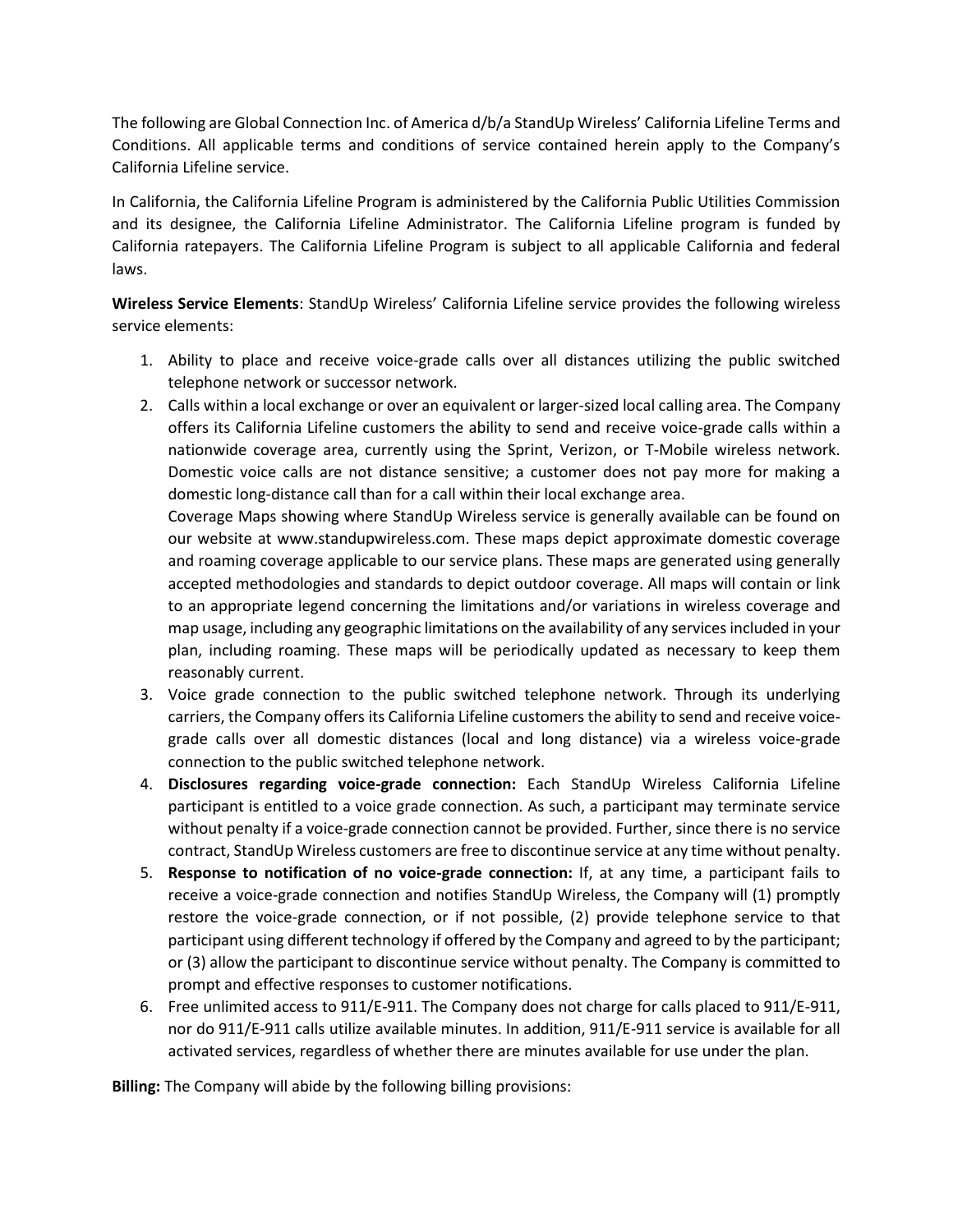The following are Global Connection Inc. of America d/b/a StandUp Wireless' California Lifeline Terms and Conditions. All applicable terms and conditions of service contained herein apply to the Company's California Lifeline service.

In California, the California Lifeline Program is administered by the California Public Utilities Commission and its designee, the California Lifeline Administrator. The California Lifeline program is funded by California ratepayers. The California Lifeline Program is subject to all applicable California and federal laws.

**Wireless Service Elements**: StandUp Wireless' California Lifeline service provides the following wireless service elements:

- 1. Ability to place and receive voice-grade calls over all distances utilizing the public switched telephone network or successor network.
- 2. Calls within a local exchange or over an equivalent or larger-sized local calling area. The Company offers its California Lifeline customers the ability to send and receive voice-grade calls within a nationwide coverage area, currently using the Sprint, Verizon, or T-Mobile wireless network. Domestic voice calls are not distance sensitive; a customer does not pay more for making a domestic long-distance call than for a call within their local exchange area.

Coverage Maps showing where StandUp Wireless service is generally available can be found on our website at www.standupwireless.com. These maps depict approximate domestic coverage and roaming coverage applicable to our service plans. These maps are generated using generally accepted methodologies and standards to depict outdoor coverage. All maps will contain or link to an appropriate legend concerning the limitations and/or variations in wireless coverage and map usage, including any geographic limitations on the availability of any services included in your plan, including roaming. These maps will be periodically updated as necessary to keep them reasonably current.

- 3. Voice grade connection to the public switched telephone network. Through its underlying carriers, the Company offers its California Lifeline customers the ability to send and receive voicegrade calls over all domestic distances (local and long distance) via a wireless voice-grade connection to the public switched telephone network.
- 4. **Disclosures regarding voice-grade connection:** Each StandUp Wireless California Lifeline participant is entitled to a voice grade connection. As such, a participant may terminate service without penalty if a voice-grade connection cannot be provided. Further, since there is no service contract, StandUp Wireless customers are free to discontinue service at any time without penalty.
- 5. **Response to notification of no voice-grade connection:** If, at any time, a participant fails to receive a voice-grade connection and notifies StandUp Wireless, the Company will (1) promptly restore the voice-grade connection, or if not possible, (2) provide telephone service to that participant using different technology if offered by the Company and agreed to by the participant; or (3) allow the participant to discontinue service without penalty. The Company is committed to prompt and effective responses to customer notifications.
- 6. Free unlimited access to 911/E-911. The Company does not charge for calls placed to 911/E-911, nor do 911/E-911 calls utilize available minutes. In addition, 911/E-911 service is available for all activated services, regardless of whether there are minutes available for use under the plan.

**Billing:** The Company will abide by the following billing provisions: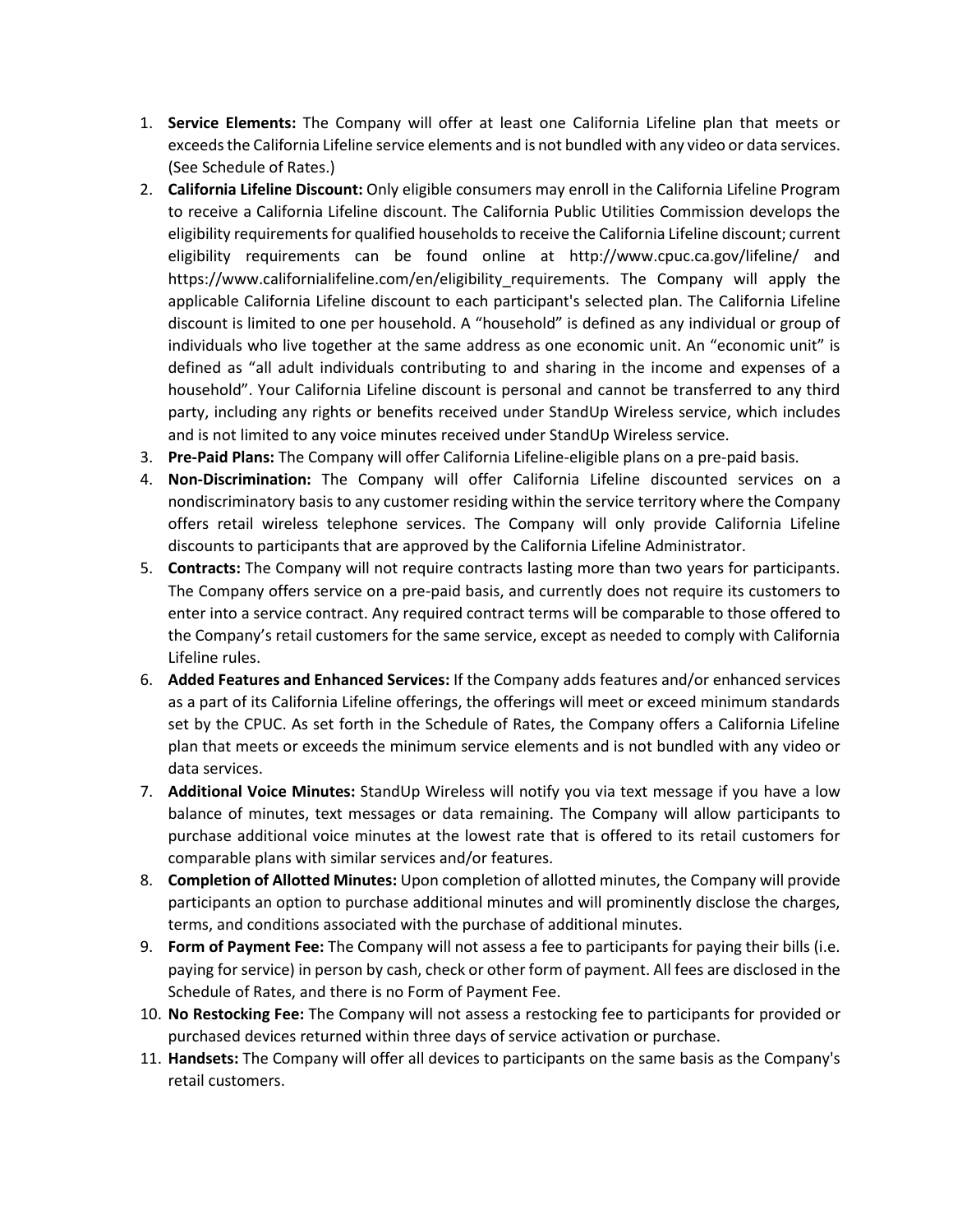- 1. **Service Elements:** The Company will offer at least one California Lifeline plan that meets or exceeds the California Lifeline service elements and is not bundled with any video or data services. (See Schedule of Rates.)
- 2. **California Lifeline Discount:** Only eligible consumers may enroll in the California Lifeline Program to receive a California Lifeline discount. The California Public Utilities Commission develops the eligibility requirements for qualified households to receive the California Lifeline discount; current eligibility requirements can be found online at http://www.cpuc.ca.gov/lifeline/ and https://www.californialifeline.com/en/eligibility requirements. The Company will apply the applicable California Lifeline discount to each participant's selected plan. The California Lifeline discount is limited to one per household. A "household" is defined as any individual or group of individuals who live together at the same address as one economic unit. An "economic unit" is defined as "all adult individuals contributing to and sharing in the income and expenses of a household". Your California Lifeline discount is personal and cannot be transferred to any third party, including any rights or benefits received under StandUp Wireless service, which includes and is not limited to any voice minutes received under StandUp Wireless service.
- 3. **Pre-Paid Plans:** The Company will offer California Lifeline-eligible plans on a pre-paid basis.
- 4. **Non-Discrimination:** The Company will offer California Lifeline discounted services on a nondiscriminatory basis to any customer residing within the service territory where the Company offers retail wireless telephone services. The Company will only provide California Lifeline discounts to participants that are approved by the California Lifeline Administrator.
- 5. **Contracts:** The Company will not require contracts lasting more than two years for participants. The Company offers service on a pre-paid basis, and currently does not require its customers to enter into a service contract. Any required contract terms will be comparable to those offered to the Company's retail customers for the same service, except as needed to comply with California Lifeline rules.
- 6. **Added Features and Enhanced Services:** If the Company adds features and/or enhanced services as a part of its California Lifeline offerings, the offerings will meet or exceed minimum standards set by the CPUC. As set forth in the Schedule of Rates, the Company offers a California Lifeline plan that meets or exceeds the minimum service elements and is not bundled with any video or data services.
- 7. **Additional Voice Minutes:** StandUp Wireless will notify you via text message if you have a low balance of minutes, text messages or data remaining. The Company will allow participants to purchase additional voice minutes at the lowest rate that is offered to its retail customers for comparable plans with similar services and/or features.
- 8. **Completion of Allotted Minutes:** Upon completion of allotted minutes, the Company will provide participants an option to purchase additional minutes and will prominently disclose the charges, terms, and conditions associated with the purchase of additional minutes.
- 9. **Form of Payment Fee:** The Company will not assess a fee to participants for paying their bills (i.e. paying for service) in person by cash, check or other form of payment. All fees are disclosed in the Schedule of Rates, and there is no Form of Payment Fee.
- 10. **No Restocking Fee:** The Company will not assess a restocking fee to participants for provided or purchased devices returned within three days of service activation or purchase.
- 11. **Handsets:** The Company will offer all devices to participants on the same basis as the Company's retail customers.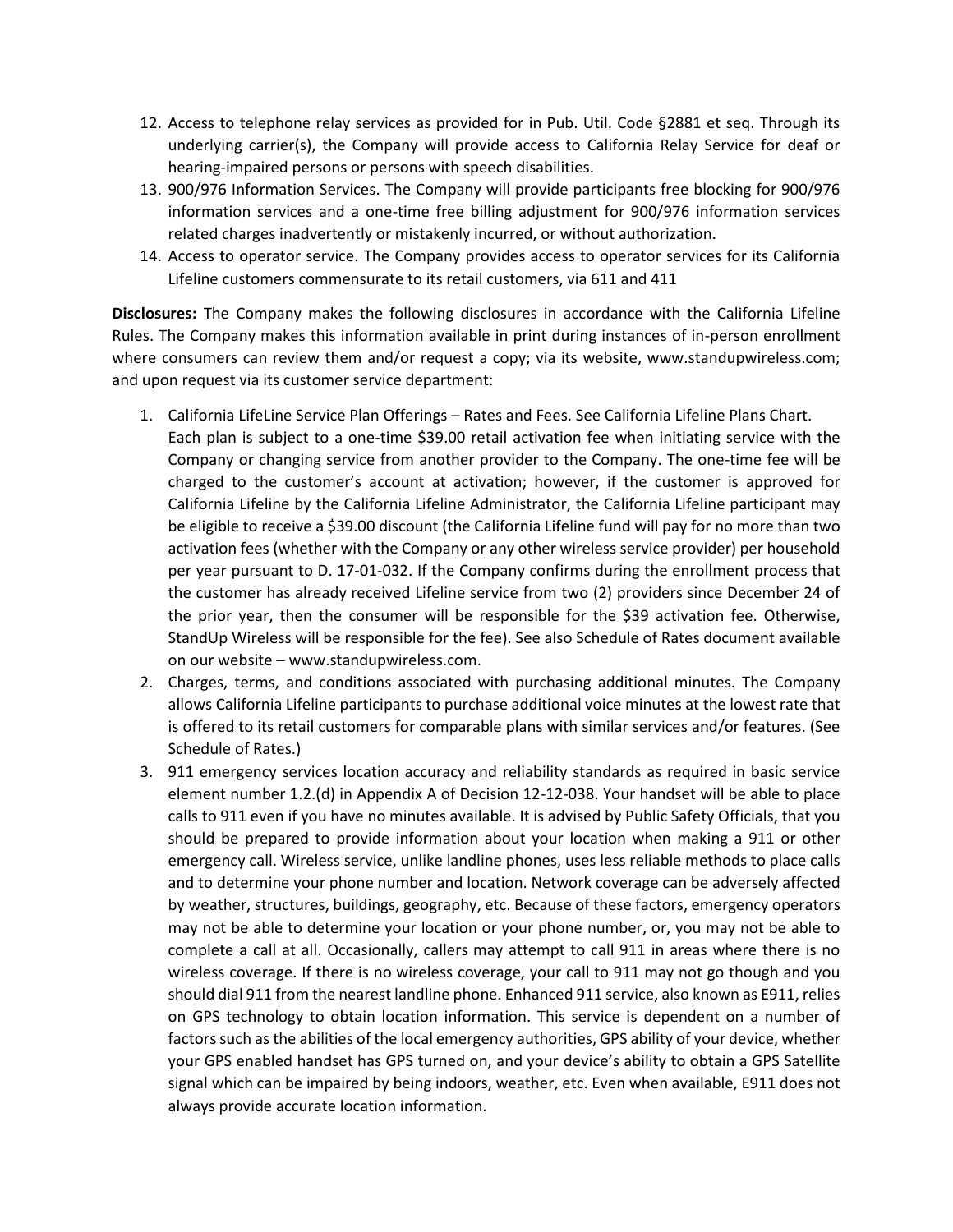- 12. Access to telephone relay services as provided for in Pub. Util. Code §2881 et seq. Through its underlying carrier(s), the Company will provide access to California Relay Service for deaf or hearing-impaired persons or persons with speech disabilities.
- 13. 900/976 Information Services. The Company will provide participants free blocking for 900/976 information services and a one-time free billing adjustment for 900/976 information services related charges inadvertently or mistakenly incurred, or without authorization.
- 14. Access to operator service. The Company provides access to operator services for its California Lifeline customers commensurate to its retail customers, via 611 and 411

**Disclosures:** The Company makes the following disclosures in accordance with the California Lifeline Rules. The Company makes this information available in print during instances of in-person enrollment where consumers can review them and/or request a copy; via its website, www.standupwireless.com; and upon request via its customer service department:

- 1. California LifeLine Service Plan Offerings Rates and Fees. See California Lifeline Plans Chart. Each plan is subject to a one-time \$39.00 retail activation fee when initiating service with the Company or changing service from another provider to the Company. The one-time fee will be charged to the customer's account at activation; however, if the customer is approved for California Lifeline by the California Lifeline Administrator, the California Lifeline participant may be eligible to receive a \$39.00 discount (the California Lifeline fund will pay for no more than two activation fees (whether with the Company or any other wireless service provider) per household per year pursuant to D. 17-01-032. If the Company confirms during the enrollment process that the customer has already received Lifeline service from two (2) providers since December 24 of the prior year, then the consumer will be responsible for the \$39 activation fee. Otherwise, StandUp Wireless will be responsible for the fee). See also Schedule of Rates document available on our website – www.standupwireless.com.
- 2. Charges, terms, and conditions associated with purchasing additional minutes. The Company allows California Lifeline participants to purchase additional voice minutes at the lowest rate that is offered to its retail customers for comparable plans with similar services and/or features. (See Schedule of Rates.)
- 3. 911 emergency services location accuracy and reliability standards as required in basic service element number 1.2.(d) in Appendix A of Decision 12-12-038. Your handset will be able to place calls to 911 even if you have no minutes available. It is advised by Public Safety Officials, that you should be prepared to provide information about your location when making a 911 or other emergency call. Wireless service, unlike landline phones, uses less reliable methods to place calls and to determine your phone number and location. Network coverage can be adversely affected by weather, structures, buildings, geography, etc. Because of these factors, emergency operators may not be able to determine your location or your phone number, or, you may not be able to complete a call at all. Occasionally, callers may attempt to call 911 in areas where there is no wireless coverage. If there is no wireless coverage, your call to 911 may not go though and you should dial 911 from the nearest landline phone. Enhanced 911 service, also known as E911, relies on GPS technology to obtain location information. This service is dependent on a number of factors such as the abilities of the local emergency authorities, GPS ability of your device, whether your GPS enabled handset has GPS turned on, and your device's ability to obtain a GPS Satellite signal which can be impaired by being indoors, weather, etc. Even when available, E911 does not always provide accurate location information.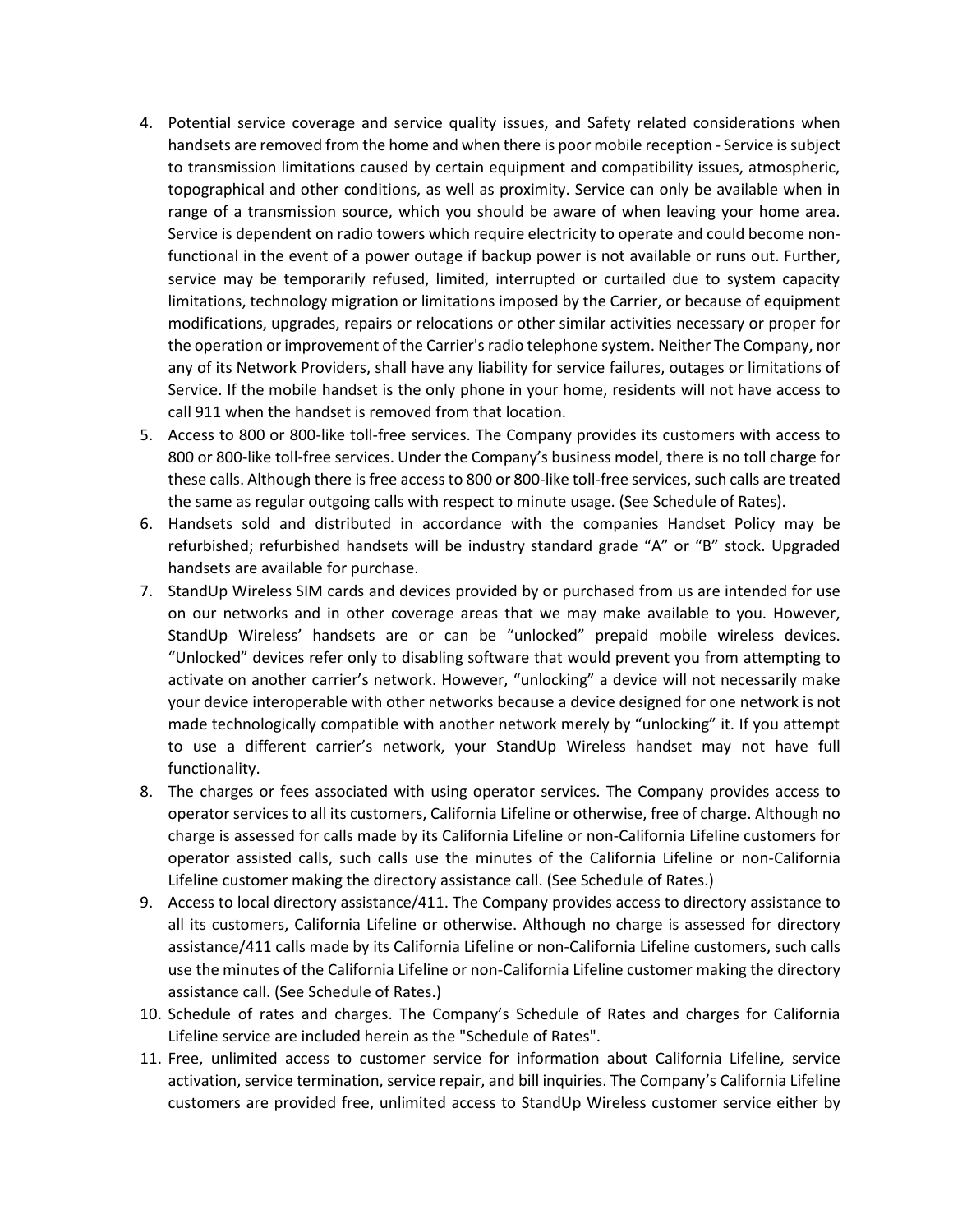- 4. Potential service coverage and service quality issues, and Safety related considerations when handsets are removed from the home and when there is poor mobile reception - Service is subject to transmission limitations caused by certain equipment and compatibility issues, atmospheric, topographical and other conditions, as well as proximity. Service can only be available when in range of a transmission source, which you should be aware of when leaving your home area. Service is dependent on radio towers which require electricity to operate and could become nonfunctional in the event of a power outage if backup power is not available or runs out. Further, service may be temporarily refused, limited, interrupted or curtailed due to system capacity limitations, technology migration or limitations imposed by the Carrier, or because of equipment modifications, upgrades, repairs or relocations or other similar activities necessary or proper for the operation or improvement of the Carrier's radio telephone system. Neither The Company, nor any of its Network Providers, shall have any liability for service failures, outages or limitations of Service. If the mobile handset is the only phone in your home, residents will not have access to call 911 when the handset is removed from that location.
- 5. Access to 800 or 800-like toll-free services. The Company provides its customers with access to 800 or 800-like toll-free services. Under the Company's business model, there is no toll charge for these calls. Although there is free access to 800 or 800-like toll-free services, such calls are treated the same as regular outgoing calls with respect to minute usage. (See Schedule of Rates).
- 6. Handsets sold and distributed in accordance with the companies Handset Policy may be refurbished; refurbished handsets will be industry standard grade "A" or "B" stock. Upgraded handsets are available for purchase.
- 7. StandUp Wireless SIM cards and devices provided by or purchased from us are intended for use on our networks and in other coverage areas that we may make available to you. However, StandUp Wireless' handsets are or can be "unlocked" prepaid mobile wireless devices. "Unlocked" devices refer only to disabling software that would prevent you from attempting to activate on another carrier's network. However, "unlocking" a device will not necessarily make your device interoperable with other networks because a device designed for one network is not made technologically compatible with another network merely by "unlocking" it. If you attempt to use a different carrier's network, your StandUp Wireless handset may not have full functionality.
- 8. The charges or fees associated with using operator services. The Company provides access to operator services to all its customers, California Lifeline or otherwise, free of charge. Although no charge is assessed for calls made by its California Lifeline or non-California Lifeline customers for operator assisted calls, such calls use the minutes of the California Lifeline or non-California Lifeline customer making the directory assistance call. (See Schedule of Rates.)
- 9. Access to local directory assistance/411. The Company provides access to directory assistance to all its customers, California Lifeline or otherwise. Although no charge is assessed for directory assistance/411 calls made by its California Lifeline or non-California Lifeline customers, such calls use the minutes of the California Lifeline or non-California Lifeline customer making the directory assistance call. (See Schedule of Rates.)
- 10. Schedule of rates and charges. The Company's Schedule of Rates and charges for California Lifeline service are included herein as the "Schedule of Rates".
- 11. Free, unlimited access to customer service for information about California Lifeline, service activation, service termination, service repair, and bill inquiries. The Company's California Lifeline customers are provided free, unlimited access to StandUp Wireless customer service either by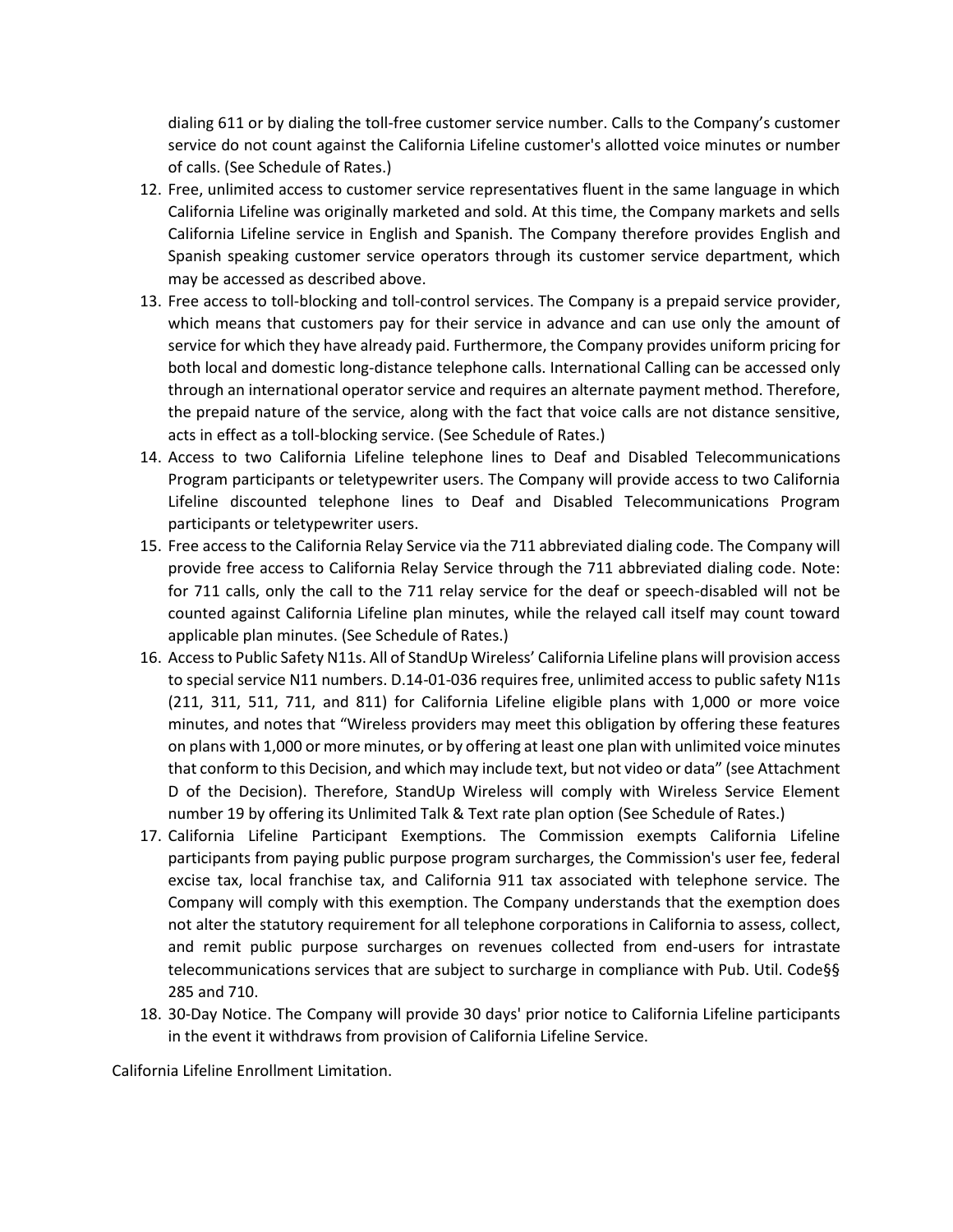dialing 611 or by dialing the toll-free customer service number. Calls to the Company's customer service do not count against the California Lifeline customer's allotted voice minutes or number of calls. (See Schedule of Rates.)

- 12. Free, unlimited access to customer service representatives fluent in the same language in which California Lifeline was originally marketed and sold. At this time, the Company markets and sells California Lifeline service in English and Spanish. The Company therefore provides English and Spanish speaking customer service operators through its customer service department, which may be accessed as described above.
- 13. Free access to toll-blocking and toll-control services. The Company is a prepaid service provider, which means that customers pay for their service in advance and can use only the amount of service for which they have already paid. Furthermore, the Company provides uniform pricing for both local and domestic long-distance telephone calls. International Calling can be accessed only through an international operator service and requires an alternate payment method. Therefore, the prepaid nature of the service, along with the fact that voice calls are not distance sensitive, acts in effect as a toll-blocking service. (See Schedule of Rates.)
- 14. Access to two California Lifeline telephone lines to Deaf and Disabled Telecommunications Program participants or teletypewriter users. The Company will provide access to two California Lifeline discounted telephone lines to Deaf and Disabled Telecommunications Program participants or teletypewriter users.
- 15. Free access to the California Relay Service via the 711 abbreviated dialing code. The Company will provide free access to California Relay Service through the 711 abbreviated dialing code. Note: for 711 calls, only the call to the 711 relay service for the deaf or speech-disabled will not be counted against California Lifeline plan minutes, while the relayed call itself may count toward applicable plan minutes. (See Schedule of Rates.)
- 16. Access to Public Safety N11s. All of StandUp Wireless' California Lifeline plans will provision access to special service N11 numbers. D.14-01-036 requires free, unlimited access to public safety N11s (211, 311, 511, 711, and 811) for California Lifeline eligible plans with 1,000 or more voice minutes, and notes that "Wireless providers may meet this obligation by offering these features on plans with 1,000 or more minutes, or by offering at least one plan with unlimited voice minutes that conform to this Decision, and which may include text, but not video or data" (see Attachment D of the Decision). Therefore, StandUp Wireless will comply with Wireless Service Element number 19 by offering its Unlimited Talk & Text rate plan option (See Schedule of Rates.)
- 17. California Lifeline Participant Exemptions. The Commission exempts California Lifeline participants from paying public purpose program surcharges, the Commission's user fee, federal excise tax, local franchise tax, and California 911 tax associated with telephone service. The Company will comply with this exemption. The Company understands that the exemption does not alter the statutory requirement for all telephone corporations in California to assess, collect, and remit public purpose surcharges on revenues collected from end-users for intrastate telecommunications services that are subject to surcharge in compliance with Pub. Util. Code§§ 285 and 710.
- 18. 30-Day Notice. The Company will provide 30 days' prior notice to California Lifeline participants in the event it withdraws from provision of California Lifeline Service.

California Lifeline Enrollment Limitation.